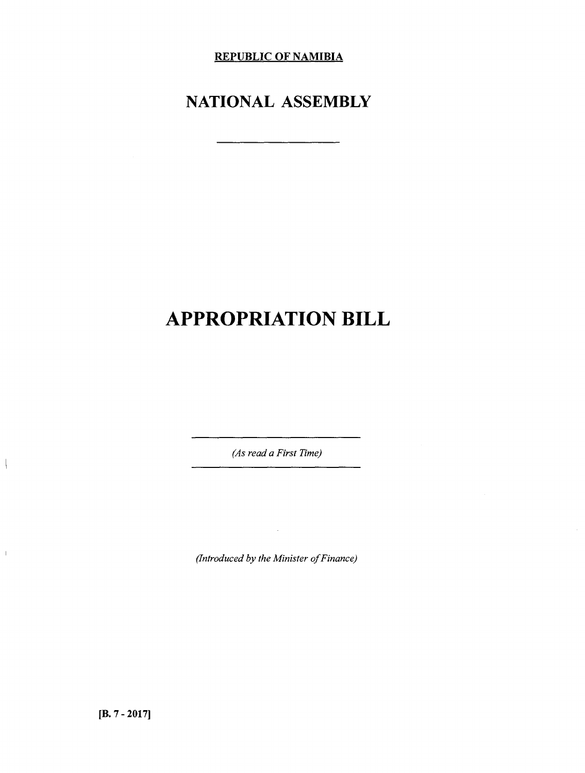**REPUBLIC OF NAMIBIA**

## **NATIONAL ASSEMBLY**

# **APPROPRIATION BILL**

*(As read a First Time)*

*(Introduced by the Minister of Finance)*

 $\bar{A}$ 

 $\overline{\phantom{a}}$ 

 $\bar{\mathbb{L}}$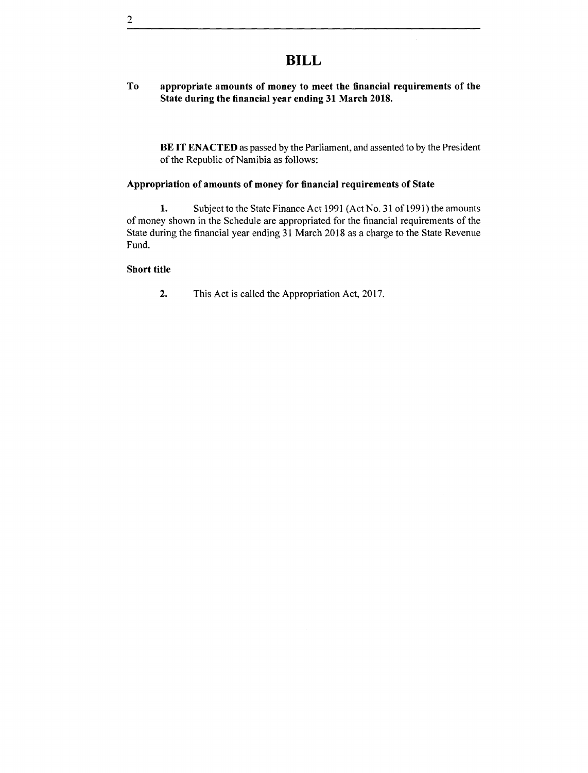## **BILL**

#### **To appropriate amounts of money to meet the financial requirements of the State during the financial year ending 31 March 2018.**

**BE IT ENACTED** as passed by the Parliament, and assented to by the President of the Republic of Namibia as follows:

#### **Appropriation of amounts of money for financial requirements of State**

**1.** Subject to the State Finance Act 1991 (Act No. 31 of 1991) the amounts of money shown in the Schedule are appropriated for the financial requirements of the State during the financial year ending 31 March 2018 as a charge to the State Revenue Fund.

#### **Short title**

**2.** This Act is called the Appropriation Act, 2017.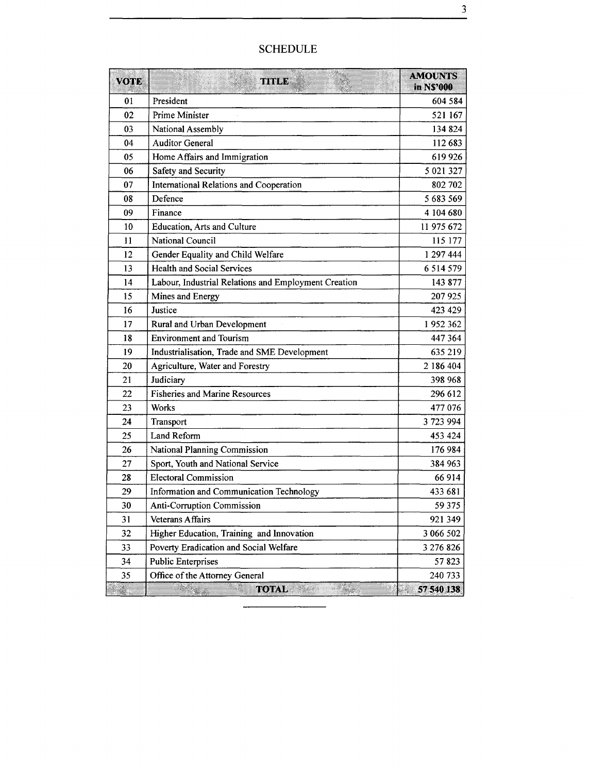| <b>VOTE</b> | <b>TITLE</b>                                         | <b>AMOUNTS</b><br>in NS'000 |
|-------------|------------------------------------------------------|-----------------------------|
| 01          | President                                            | 604 584                     |
| 02          | Prime Minister                                       | 521 167                     |
| 03          | National Assembly                                    | 134 824                     |
| 04          | <b>Auditor General</b>                               | 112 683                     |
| 05          | Home Affairs and Immigration                         | 619 926                     |
| 06          | Safety and Security                                  | 5 021 327                   |
| 07          | International Relations and Cooperation              | 802 702                     |
| 08          | Defence                                              | 5 683 569                   |
| 09          | Finance                                              | 4 104 680                   |
| 10          | Education, Arts and Culture                          | 11 975 672                  |
| 11          | National Council                                     | 115 177                     |
| 12          | Gender Equality and Child Welfare                    | 1 297 444                   |
| 13          | <b>Health and Social Services</b>                    | 6 5 14 5 79                 |
| 14          | Labour, Industrial Relations and Employment Creation | 143 877                     |
| 15          | Mines and Energy                                     | 207925                      |
| 16          | Justice                                              | 423 429                     |
| 17          | Rural and Urban Development                          | 1952362                     |
| 18          | <b>Environment and Tourism</b>                       | 447 364                     |
| 19          | Industrialisation, Trade and SME Development         | 635 219                     |
| 20          | Agriculture, Water and Forestry                      | 2 186 404                   |
| 21          | Judiciary                                            | 398 968                     |
| 22          | <b>Fisheries and Marine Resources</b>                | 296 612                     |
| 23          | <b>Works</b>                                         | 477 076                     |
| 24          | Transport                                            | 3 723 994                   |
| 25          | Land Reform                                          | 453 424                     |
| 26          | National Planning Commission                         | 176 984                     |
| 27          | Sport, Youth and National Service                    | 384 963                     |
| 28          | <b>Electoral Commission</b>                          | 66 914                      |
| 29          | Information and Communication Technology             | 433 681                     |
| 30          | Anti-Corruption Commission                           | 59 375                      |
| 31          | <b>Veterans Affairs</b>                              | 921 349                     |
| 32          | Higher Education, Training and Innovation            | 3 066 502                   |
| 33          | Poverty Eradication and Social Welfare               | 3 276 826                   |
| 34          | <b>Public Enterprises</b>                            | 57823                       |
| 35          | Office of the Attorney General                       | 240 733                     |
|             | <b>TOTAL REPORTS</b>                                 | 57 540 138                  |

### SCHEDULE